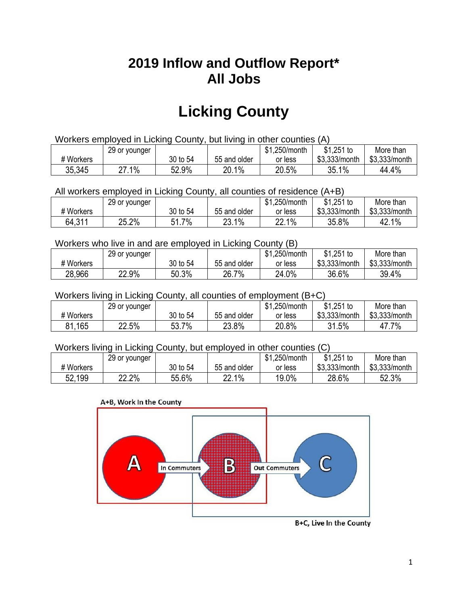## **2019 Inflow and Outflow Report\* All Jobs**

# **Licking County**

| Workers employed in Licking County, but living in other counties (A) |                                                            |          |              |         |               |               |  |  |  |
|----------------------------------------------------------------------|------------------------------------------------------------|----------|--------------|---------|---------------|---------------|--|--|--|
|                                                                      | $$1,251$ to<br>\$1.250/month<br>29 or younger<br>More than |          |              |         |               |               |  |  |  |
| # Workers                                                            |                                                            | 30 to 54 | 55 and older | or less | \$3,333/month | \$3,333/month |  |  |  |
| 35,345                                                               | 27.1%                                                      | 52.9%    | 20.1%        | 20.5%   | 35.1%         | 44.4%         |  |  |  |

All workers employed in Licking County, all counties of residence (A+B)

|           | 29 or younger |                |              | \$1,250/month | $$1,251$ to   | More than     |
|-----------|---------------|----------------|--------------|---------------|---------------|---------------|
| # Workers |               | 30 to 54       | 55 and older | or less       | \$3,333/month | \$3,333/month |
| 64,311    | 25.2%         | $7\%$<br>ז.ו כ | 23.1%        | 22.1%         | 35.8%         | 42.1%         |

#### Workers who live in and are employed in Licking County (B)

|           | 29 or younger |          |              | \$1,250/month | $$1,251$ to   | More than     |
|-----------|---------------|----------|--------------|---------------|---------------|---------------|
| # Workers |               | 30 to 54 | 55 and older | or less       | \$3,333/month | \$3,333/month |
| 28,966    | 22.9%         | 50.3%    | 26.7%        | 24.0%         | 36.6%         | 39.4%         |

#### Workers living in Licking County, all counties of employment (B+C)

|           | 29 or younger |          |              | \$1,250/month | \$1,251 to    | More than     |
|-----------|---------------|----------|--------------|---------------|---------------|---------------|
| # Workers |               | 30 to 54 | 55 and older | or less       | \$3,333/month | \$3,333/month |
| 81,165    | 22.5%         | 53.7%    | 23.8%        | 20.8%         | 31.5%         | 47.7%         |

#### Workers living in Licking County, but employed in other counties (C)

|           | 29 or younger |          |              | \$1,250/month | $$1,251$ to   | More than     |
|-----------|---------------|----------|--------------|---------------|---------------|---------------|
| # Workers |               | 30 to 54 | 55 and older | or less       | \$3,333/month | \$3,333/month |
| 52,199    | 22.2%         | 55.6%    | 22.1%        | 19.0%         | 28.6%         | 52.3%         |





B+C, Live In the County